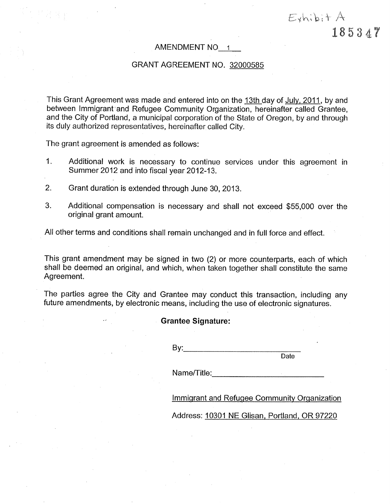### AMENDMENT NO 1

### GRANT AGREEMENT NO, 32OOO5B5

This Grant Agreement was made and entered into on the 13th day of July, 2011, by and between lmmigrant'and Refugee Community Organization, hereinafter called Grantee, and the City of Portland, a municipal corporation of the State of Oregon, by and through its duly authorized representatives, hereinafter called City.

The grant agreement is amended as follows:

- 1. Additional work is necessary to continue services under this agreement in Summer 2012 and into fiscal year 2012-13.
- 2. Grant duratíon is extended through June 30, 2013.
- 3. Additional compensation is necessary and shall not exceed \$55,000 over the original grant amount.

All other terms and conditions shall remain unchanged and in full force and effect.

This grant amendment may be signed in two (2) or more counterparts, each of which shall be deemed an original, and which, when taken together shall constitute the same Agreement.

The parties agree the City and Grantee may conduct this transaction, including any future amendments, by electronic means, including the use of electronic signatures.

#### Grantee Signature:

By:

Date

 $E$ shi $\overline{b}$ it A

185347

Name/Title:

lmmiqrant and Refuqee Community Orqanization

Address: 10301 NE Glisan, Portland, OR 97220